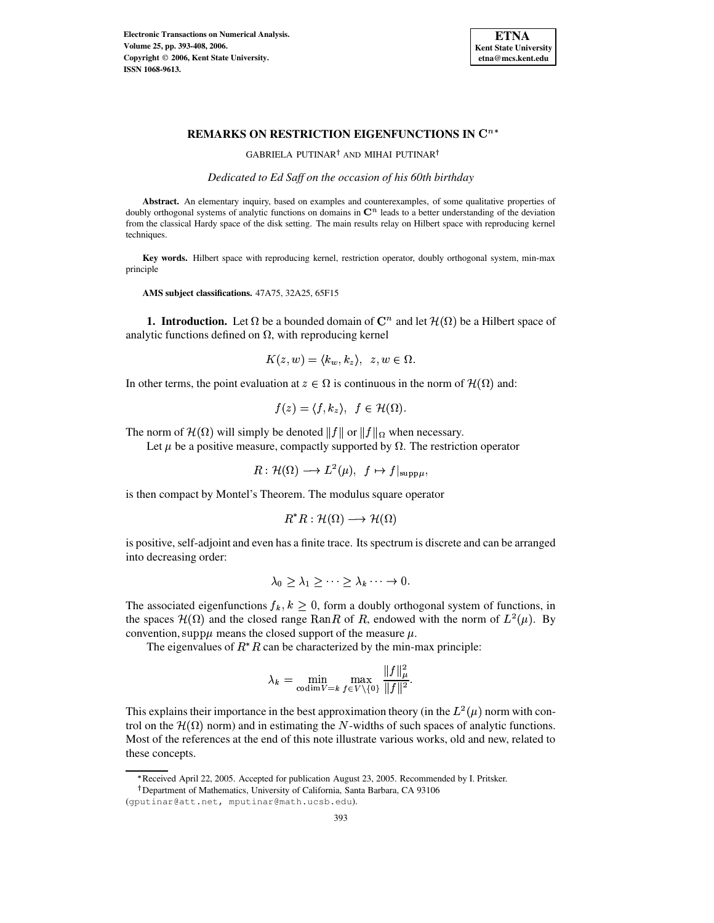

# **REMARKS ON RESTRICTION EIGENFUNCTIONS IN** -

GABRIELA PUTINAR<sup>†</sup> AND MIHAI PUTINAR<sup>†</sup>

*Dedicated to Ed Saff on the occasion of his 60th birthday*

Abstract. An elementary inquiry, based on examples and counterexamples, of some qualitative properties of doubly orthogonal systems of analytic functions on domains in  $\mathbb{C}^n$  leads to a better understanding of the deviation from the classical Hardy space of the disk setting. The main results relay on Hilbert space with reproducing kernel techniques.

**Key words.** Hilbert space with reproducing kernel, restriction operator, doubly orthogonal system, min-max principle

**AMS subject classifications.** 47A75, 32A25, 65F15

**1. Introduction.** Let  $\Omega$  be a bounded domain of  $\mathbb{C}^n$  and let  $\mathcal{H}(\Omega)$  be a Hilbert space of analytic functions defined on  $\Omega$ , with reproducing kernel

$$
K(z, w) = \langle k_w, k_z \rangle, \ \ z, w \in \Omega.
$$

In other terms, the point evaluation at  $z \in \Omega$  is continuous in the norm of  $\mathcal{H}(\Omega)$  and:

$$
f(z) = \langle f, k_z \rangle, \ f \in \mathcal{H}(\Omega).
$$

The norm of  $\mathcal{H}(\Omega)$  will simply be denoted  $||f||$  or  $||f||_{\Omega}$  when necessary.

Let  $\mu$  be a positive measure, compactly supported by  $\Omega$ . The restriction operator

$$
R: \mathcal{H}(\Omega) \longrightarrow L^2(\mu), \ \ f \mapsto f|_{\text{supp}\mu},
$$

is then compact by Montel's Theorem. The modulus square operator

$$
R^*R: \mathcal{H}(\Omega) \longrightarrow \mathcal{H}(\Omega)
$$

is positive, self-adjoint and even has a finite trace. Its spectrum is discrete and can be arranged into decreasing order:

$$
\lambda_0 \geq \lambda_1 \geq \cdots \geq \lambda_k \cdots \to 0.
$$

The associated eigenfunctions  $f_k, k \geq 0$ , form a doubly orthogonal system of functions, in the spaces  $\mathcal{H}(\Omega)$  and the closed range Ran $R$  of  $R$ , endowed with the norm of  $L^2(\mu)$ . By convention, supp $\mu$  means the closed support of the measure  $\mu$ .

The eigenvalues of  $R^*R$  can be characterized by the min-max principle:

$$
\lambda_k = \min_{\text{codim } V = k} \max_{f \in V \setminus \{0\}} \frac{\|f\|_{\mu}^2}{\|f\|^2}.
$$

This explains their importance in the best approximation theory (in the  $L^2(\mu)$  norm with control on the  $\mathcal{H}(\Omega)$  norm) and in estimating the N-widths of such spaces of analytic functions. Most of the references at the end of this note illustrate various works, old and new, related to these concepts.

<sup>x</sup> Received April 22, 2005. Accepted for publication August 23, 2005. Recommended by I. Pritsker.

Department of Mathematics, University of California, Santa Barbara, CA 93106

<sup>(</sup>gputinar@att.net, mputinar@math.ucsb.edu).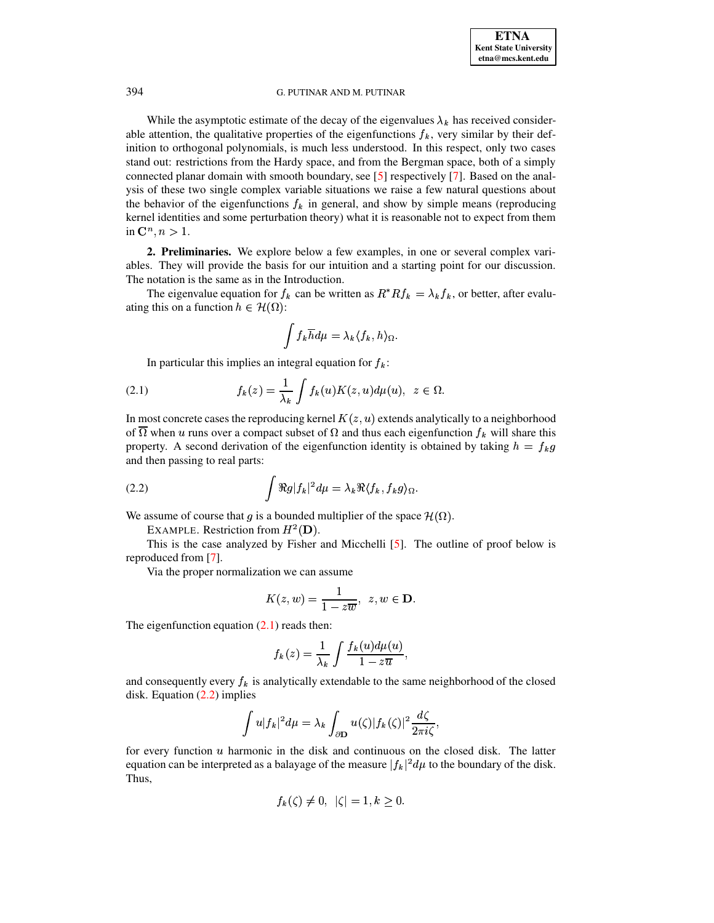While the asymptotic estimate of the decay of the eigenvalues  $\lambda_k$  has received considerable attention, the qualitative properties of the eigenfunctions  $f_k$ , very similar by their definition to orthogonal polynomials, is much less understood. In this respect, only two cases stand out: restrictions from the Hardy space, and from the Bergman space, both of a simply connected planar domain with smooth boundary, see [\[5\]](#page-15-0) respectively [\[7\]](#page-15-1). Based on the analysis of these two single complex variable situations we raise a few natural questions about the behavior of the eigenfunctions  $f_k$  in general, and show by simple means (reproducing kernel identities and some perturbation theory) what it is reasonable not to expect from them in  $\mathbf{C}^n, n > 1$ .

**2. Preliminaries.** We explore below a few examples, in one or several complex variables. They will provide the basis for our intuition and a starting point for our discussion. The notation is the same as in the Introduction.

The eigenvalue equation for  $f_k$  can be written as  $R^* R f_k = \lambda_k f_k$ , or better, after evaluating this on a function  $h \in \mathcal{H}(\Omega)$ :

$$
\int f_k \overline{h} d\mu = \lambda_k \langle f_k, h \rangle_{\Omega}.
$$

<span id="page-1-0"></span>In particular this implies an integral equation for  $f_k$ :

(2.1) 
$$
f_k(z) = \frac{1}{\lambda_k} \int f_k(u) K(z, u) d\mu(u), \ z \in \Omega
$$

In most concrete cases the reproducing kernel  $K(z, u)$  extends analytically to a neighborhood of  $\Omega$  when u runs over a compact subset of  $\Omega$  and thus each eigenfunction  $f_k$  will share this property. A second derivation of the eigenfunction identity is obtained by taking  $h = f_k g$ and then passing to real parts:

<span id="page-1-1"></span>(2.2) 
$$
\int \Re g |f_k|^2 d\mu = \lambda_k \Re \langle f_k, f_k g \rangle_{\Omega}.
$$

We assume of course that g is a bounded multiplier of the space  $\mathcal{H}(\Omega)$ .

EXAMPLE. Restriction from  $H^2(D)$ .

This is the case analyzed by Fisher and Micchelli [\[5\]](#page-15-0). The outline of proof below is reproduced from [\[7\]](#page-15-1).

Via the proper normalization we can assume

$$
K(z, w) = \frac{1}{1 - z\overline{w}}, \ \ z, w \in \mathbf{D}.
$$

The eigenfunction equation  $(2.1)$  reads then:

$$
f_k(z) = \frac{1}{\lambda_k} \int \frac{f_k(u) d\mu(u)}{1 - z\overline{u}},
$$

and consequently every  $f_k$  is analytically extendable to the same neighborhood of the closed disk. Equation [\(2.2\)](#page-1-1) implies

$$
\int u |f_k|^2 d\mu = \lambda_k \int_{\partial \mathbf{D}} u(\zeta) |f_k(\zeta)|^2 \frac{d\zeta}{2\pi i \zeta},
$$

for every function  $u$  harmonic in the disk and continuous on the closed disk. The latter equation can be interpreted as a balayage of the measure  $|f_k|^2 d\mu$  to the boundary of the disk. Thus,

$$
f_k(\zeta) \neq 0, \ \ |\zeta|=1, k\geq 0.
$$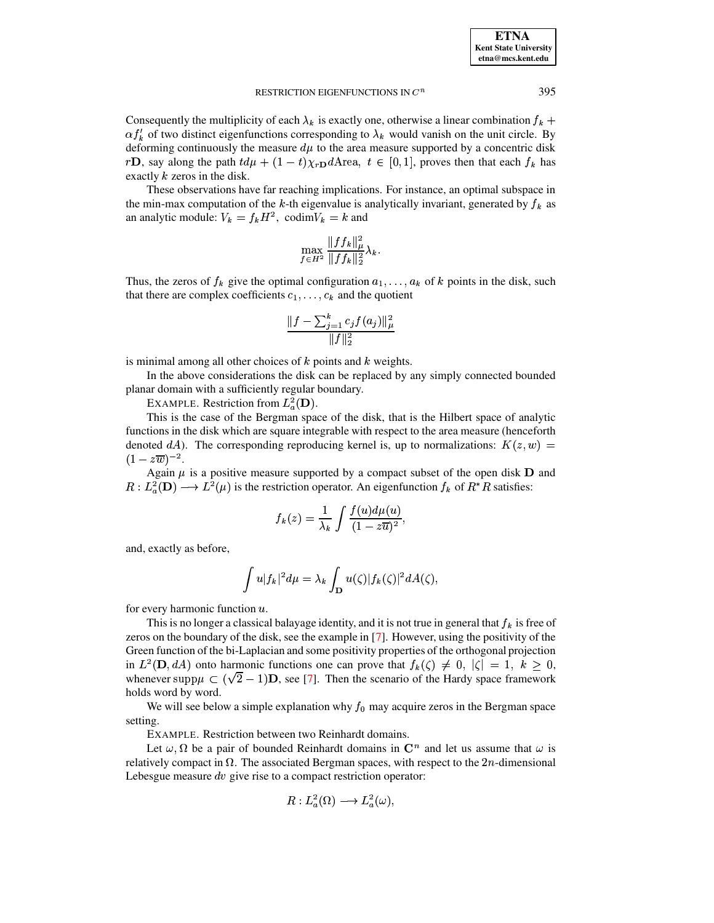Consequently the multiplicity of each  $\lambda_k$  is exactly one, otherwise a linear combination  $f_k$  +  $\alpha f_k'$  of two distinct eigenfunctions corresponding to  $\lambda_k$  would vanish on the unit circle. By deforming continuously the measure  $d\mu$  to the area measure supported by a concentric disk  $r\mathbf{D}$ , say along the path  $td\mu + (1-t)\gamma_r \mathbf{D}d\mathbf{A}$ rea,  $t \in [0, 1]$ , proves then that each  $f_k$  has rD, say along the path  $td\mu + (1-t)\chi_{rD}dA$  rea,  $t \in [0,1]$ , proves then that each  $f_k$  has exactly  $k$  zeros in the disk.

These observations have far reaching implications. For instance, an optimal subspace in the min-max computation of the k-th eigenvalue is analytically invariant, generated by  $f_k$  as an analytic module:  $V_k = f_k H^2$ , codim $V_k = k$  and

$$
\max_{f\in H^2} \frac{\|ff_k\|_{\mu}^2}{\|ff_k\|_2^2}\lambda_k.
$$

Thus, the zeros of  $f_k$  give the optimal configuration  $a_1, \ldots, a_k$  of k points in the disk, such that there are complex coefficients  $c_1, \ldots, c_k$  and the quotient

$$
\frac{\|f-\sum_{j=1}^k c_j f(a_j)\|_{\mu}^2}{\|f\|_2^2}
$$

is minimal among all other choices of  $k$  points and  $k$  weights.

In the above considerations the disk can be replaced by any simply connected bounded planar domain with a sufficiently regular boundary.

EXAMPLE. Restriction from  $L^2_a(\mathbf{D})$ .

This is the case of the Bergman space of the disk, that is the Hilbert space of analytic functions in the disk which are square integrable with respect to the area measure (henceforth denoted dA). The corresponding reproducing kernel is, up to normalizations:  $K(z, w) =$  $(1 - z\overline{w})^{-2}.$ 

Again  $\mu$  is a positive measure supported by a compact subset of the open disk **D** and  $R: L^2_{\alpha}(\mathbf{D}) \longrightarrow L^2(\mu)$  is the restriction operator. An eigenfunction  $f_k$  of  $R^*R$  satisfies:

$$
f_k(z) = \frac{1}{\lambda_k} \int \frac{f(u)d\mu(u)}{(1 - z\overline{u})^2},
$$

and, exactly as before,

$$
\int u|f_k|^2d\mu=\lambda_k\int_{\mathbf{D}}u(\zeta)|f_k(\zeta)|^2dA(\zeta),
$$

for every harmonic function  $u$ .

This is no longer a classical balayage identity, and it is not true in general that  $f_k$  is free of zeros on the boundary of the disk, see the example in [\[7\]](#page-15-1). However, using the positivity of the Green function of the bi-Laplacian and some positivity properties of the orthogonal projection in  $L^2(\mathbf{D}, dA)$  onto harmonic functions one can prove that  $f_k(\zeta) \neq 0, |\zeta| = 1, k \geq 0$ , whenever supp $\mu \subset (\sqrt{2} - 1)$ D, see [\[7\]](#page-15-1). Then the scenario of the Hardy space framework holds word by word.

We will see below a simple explanation why  $f_0$  may acquire zeros in the Bergman space setting.

EXAMPLE. Restriction between two Reinhardt domains.

Let  $\omega, \Omega$  be a pair of bounded Reinhardt domains in  $\mathbb{C}^n$  and let us assume that  $\omega$  is relatively compact in  $\Omega$ . The associated Bergman spaces, with respect to the 2*n*-dimensional Lebesgue measure  $dv$  give rise to a compact restriction operator:

$$
R: L^2_a(\Omega) \longrightarrow L^2_a(\omega),
$$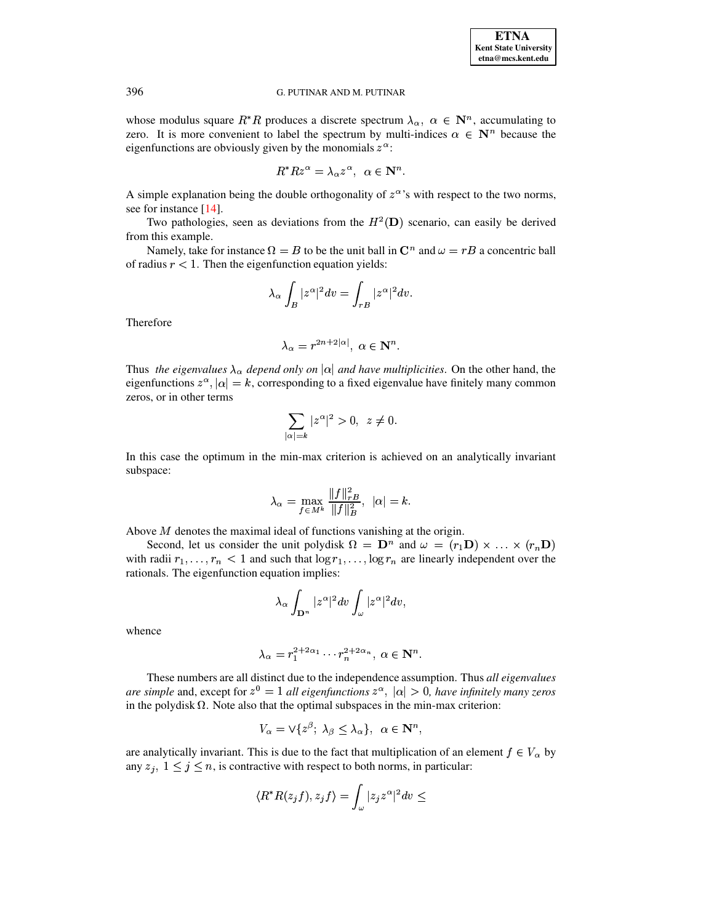whose modulus square  $R^*R$  produces a discrete spectrum  $\lambda_{\alpha}$ ,  $\alpha \in \mathbb{N}^n$ , accumulating to zero. It is more convenient to label the spectrum by multi-indices  $\alpha \in \mathbb{N}^n$  because the eigenfunctions are obviously given by the monomials  $z^{\alpha}$ :

$$
R^* R z^{\alpha} = \lambda_{\alpha} z^{\alpha}, \ \alpha \in \mathbf{N}^n.
$$

A simple explanation being the double orthogonality of  $z^{\alpha}$ 's with respect to the two norms, see for instance  $[14]$ .

Two pathologies, seen as deviations from the  $H^2(D)$  scenario, can easily be derived from this example.

Namely, take for instance  $\Omega = B$  to be the unit ball in  $\mathbb{C}^n$  and  $\omega = rB$  a concentric ball of radius  $r < 1$ . Then the eigenfunction equation yields:

$$
\lambda_\alpha \int_B |z^\alpha|^2 dv = \int_{rB} |z^\alpha|^2 dv.
$$

Therefore

$$
\lambda_{\alpha} = r^{2n+2|\alpha|}, \ \alpha \in \mathbf{N}^n.
$$

Thus the eigenvalues  $\lambda_{\alpha}$  depend only on  $|\alpha|$  and have multiplicities. On the other hand, the eigenfunctions  $z^{\alpha}$ ,  $|\alpha| = k$ , corresponding to a fixed eigenvalue have finitely many common zeros, or in other terms

$$
\sum_{|\alpha|=k} |z^{\alpha}|^2 > 0, \ z \neq 0.
$$

In this case the optimum in the min-max criterion is achieved on an analytically invariant subspace:

$$
\lambda_\alpha = \max_{f \in M^k} \frac{\|f\|_{rB}^2}{\|f\|_B^2}, \ \ |\alpha|=k.
$$

Above  $M$  denotes the maximal ideal of functions vanishing at the origin.

Second, let us consider the unit polydisk  $\Omega = \mathbf{D}^n$  and  $\omega = (r_1 \mathbf{D}) \times ... \times (r_n \mathbf{D})$ with radii  $r_1, \ldots, r_n < 1$  and such that  $\log r_1, \ldots, \log r_n$  are linearly independent over the rationals. The eigenfunction equation implies:

$$
\lambda_\alpha \int_{\mathbf{D}^n} |z^\alpha|^2 dv \int_\omega |z^\alpha|^2 dv
$$

whence

$$
\lambda_{\alpha} = r_1^{2+2\alpha_1} \cdots r_n^{2+2\alpha_n}, \ \alpha \in \mathbf{N}^n.
$$

These numbers are all distinct due to the independence assumption. Thus all eigenvalues are simple and, except for  $z^0 = 1$  all eigenfunctions  $z^{\alpha}$ ,  $|\alpha| > 0$ , have infinitely many zeros in the polydisk  $\Omega$ . Note also that the optimal subspaces in the min-max criterion:

$$
V_{\alpha} = \vee \{z^{\beta}; \ \lambda_{\beta} \le \lambda_{\alpha}\}, \ \ \alpha \in \mathbb{N}^n,
$$

are analytically invariant. This is due to the fact that multiplication of an element  $f \in V_\alpha$  by any  $z_j$ ,  $1 \le j \le n$ , is contractive with respect to both norms, in particular:

$$
\langle R^*R(z_jf),z_jf\rangle = \int_{\omega}|z_jz^{\alpha}|^2dv \leq
$$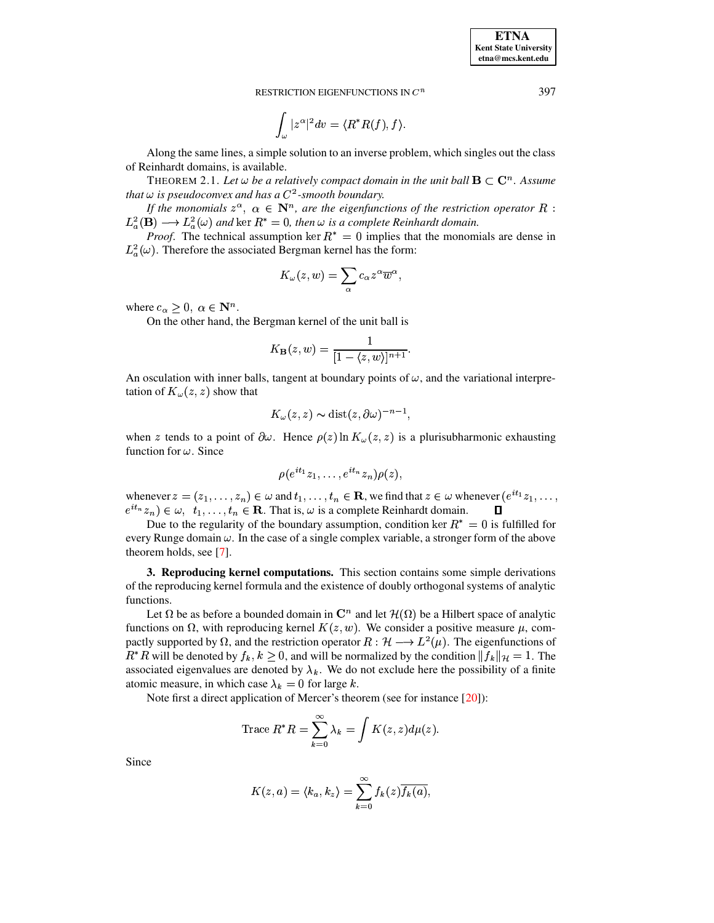**Kent State University**  $etna@mcs. kent.edu$ 

**ETNA** 

RESTRICTION EIGENFUNCTIONS IN  $C^n$ 

$$
\int_\omega |z^\alpha|^2 dv = \langle R^*R(f), f \rangle
$$

Along the same lines, a simple solution to an inverse problem, which singles out the class of Reinhardt domains, is available.

THEOREM 2.1. Let  $\omega$  be a relatively compact domain in the unit ball  $\mathbf{B} \subset \mathbf{C}^n$ . Assume that  $\omega$  is pseudoconvex and has a  $C^2$ -smooth boundary.

If the monomials  $z^{\alpha}$ ,  $\alpha \in \mathbb{N}^n$ , are the eigenfunctions of the restriction operator R :  $L^2_a(\mathbf{B}) \longrightarrow L^2_a(\omega)$  and ker  $R^* = 0$ , then  $\omega$  is a complete Reinhardt domain.

*Proof.* The technical assumption ker  $R^* = 0$  implies that the monomials are dense in  $L_a^2(\omega)$ . Therefore the associated Bergman kernel has the form:

$$
K_{\omega}(z,w)=\sum_{\alpha}c_{\alpha}z^{\alpha}\overline{w}^{\alpha},
$$

where  $c_{\alpha} \geq 0$ ,  $\alpha \in \mathbb{N}^n$ .

On the other hand, the Bergman kernel of the unit ball is

$$
K_{\mathbf{B}}(z,w)=\frac{1}{[1-\langle z,w\rangle]^{n+1}}.
$$

An osculation with inner balls, tangent at boundary points of  $\omega$ , and the variational interpretation of  $K_{\omega}(z, z)$  show that

$$
K_{\omega}(z, z) \sim \text{dist}(z, \partial \omega)^{-n-1},
$$

when z tends to a point of  $\partial \omega$ . Hence  $\rho(z)$  ln  $K_{\omega}(z, z)$  is a plurisubharmonic exhausting function for  $\omega$ . Since

$$
\rho(e^{it_1}z_1,\ldots,e^{it_n}z_n)\rho(z)
$$

whenever  $z = (z_1, \ldots, z_n) \in \omega$  and  $t_1, \ldots, t_n \in \mathbb{R}$ , we find that  $z \in \omega$  whenever  $(e^{it_1}z_1, \ldots, z_n)$  $e^{it_n} z_n$ )  $\in \omega$ ,  $t_1, \ldots, t_n \in \mathbb{R}$ . That is,  $\omega$  is a complete Reinhardt domain.  $\Box$ 

Due to the regularity of the boundary assumption, condition ker  $R^* = 0$  is fulfilled for every Runge domain  $\omega$ . In the case of a single complex variable, a stronger form of the above theorem holds, see [7].

3. Reproducing kernel computations. This section contains some simple derivations of the reproducing kernel formula and the existence of doubly orthogonal systems of analytic functions.

Let  $\Omega$  be as before a bounded domain in  $\mathbb{C}^n$  and let  $\mathcal{H}(\Omega)$  be a Hilbert space of analytic functions on  $\Omega$ , with reproducing kernel  $K(z, w)$ . We consider a positive measure  $\mu$ , compactly supported by  $\Omega$ , and the restriction operator  $R : \mathcal{H} \longrightarrow L^2(\mu)$ . The eigenfunctions of  $R^*R$  will be denoted by  $f_k, k \ge 0$ , and will be normalized by the condition  $||f_k||_{\mathcal{H}} = 1$ . The associated eigenvalues are denoted by  $\lambda_k$ . We do not exclude here the possibility of a finite atomic measure, in which case  $\lambda_k = 0$  for large k.

Note first a direct application of Mercer's theorem (see for instance [20]):

Trace 
$$
R^*R = \sum_{k=0}^{\infty} \lambda_k = \int K(z, z) d\mu(z).
$$

Since

$$
K(z,a) = \langle k_a, k_z \rangle = \sum_{k=0}^{\infty} f_k(z) \overline{f_k(a)},
$$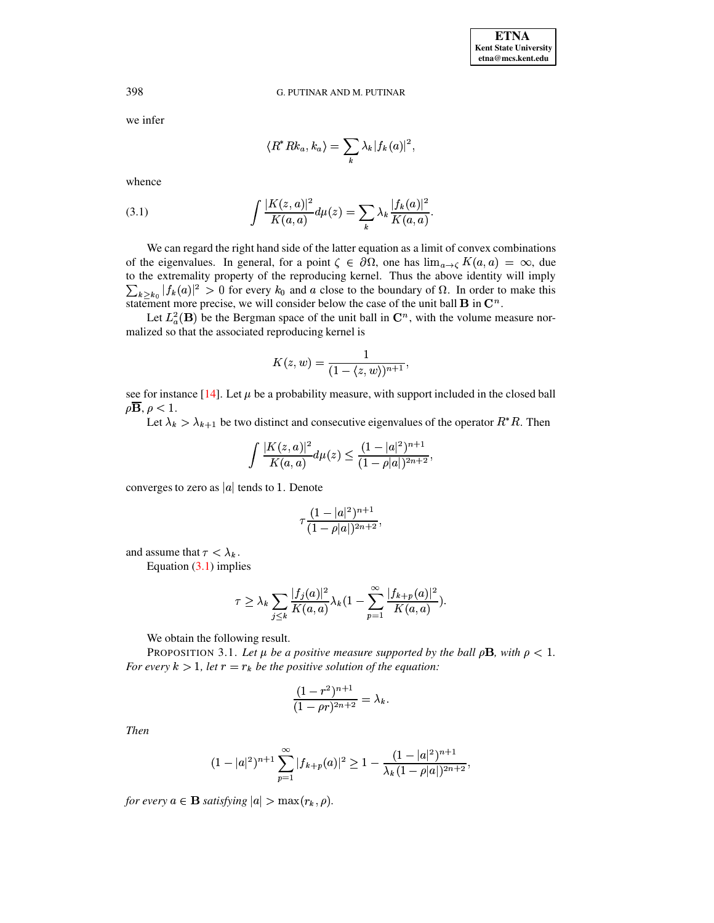we infer

$$
\langle R^* R k_a, k_a \rangle = \sum_k \lambda_k |f_k(a)|^2,
$$

whence

<span id="page-5-0"></span>(3.1) 
$$
\int \frac{|K(z,a)|^2}{K(a,a)} d\mu(z) = \sum_{k} \lambda_k \frac{|f_k(a)|^2}{K(a,a)}.
$$

We can regard the right hand side of the latter equation as a limit of convex combinations of the eigenvalues. In general, for a point  $\zeta \in \partial \Omega$ , one has  $\lim_{a \to \zeta} K(a, a) = \infty$ , due to the extremality property of the reproducing kernel. Thus the above identity will imply  $\sum_{k>k_0} |f_k(a)|^2 > 0$  for every  $k_0$  and a close to the boundary of  $\Omega$ . In order to make this statement more precise, we will consider below the case of the unit ball **B** in  $\mathbb{C}^n$ .

Let  $L^2_a(\mathbf{B})$  be the Bergman space of the unit ball in  $\mathbb{C}^n$ , with the volume measure normalized so that the associated reproducing kernel is

$$
K(z, w) = \frac{1}{(1 - \langle z, w \rangle)^{n+1}},
$$

see for instance [14]. Let  $\mu$  be a probability measure, with support included in the closed ball  $\rho \overline{B}$ ,  $\rho < 1$ .

Let  $\lambda_k > \lambda_{k+1}$  be two distinct and consecutive eigenvalues of the operator  $R^*R$ . Then

$$
\int \frac{|K(z,a)|^2}{K(a,a)} d\mu(z) \le \frac{(1-|a|^2)^{n+1}}{(1-|\|a\|)^{2n+2}},
$$

converges to zero as  $|a|$  tends to 1. Denote

$$
\tau\frac{(1-|a|^2)^{n+1}}{(1-\rho|a|)^{2n+2}},
$$

and assume that  $\tau < \lambda_k$ .

Equation  $(3.1)$  implies

$$
\tau \ge \lambda_k \sum_{j \le k} \frac{|f_j(a)|^2}{K(a, a)} \lambda_k (1 - \sum_{p=1}^{\infty} \frac{|f_{k+p}(a)|^2}{K(a, a)})
$$

We obtain the following result.

PROPOSITION 3.1. Let  $\mu$  be a positive measure supported by the ball  $\rho$ **B**, with  $\rho$  < 1. For every  $k > 1$ , let  $r = r_k$  be the positive solution of the equation:

$$
\frac{(1-r^2)^{n+1}}{(1-\rho r)^{2n+2}} = \lambda_k.
$$

**Then** 

$$
(1-|a|^2)^{n+1}\sum_{p=1}^{\infty}|f_{k+p}(a)|^2\geq 1-\frac{(1-|a|^2)^{n+1}}{\lambda_k(1-\rho|a|)^{2n+2}}
$$

for every  $a \in \mathbf{B}$  satisfying  $|a| > \max(r_k, \rho)$ .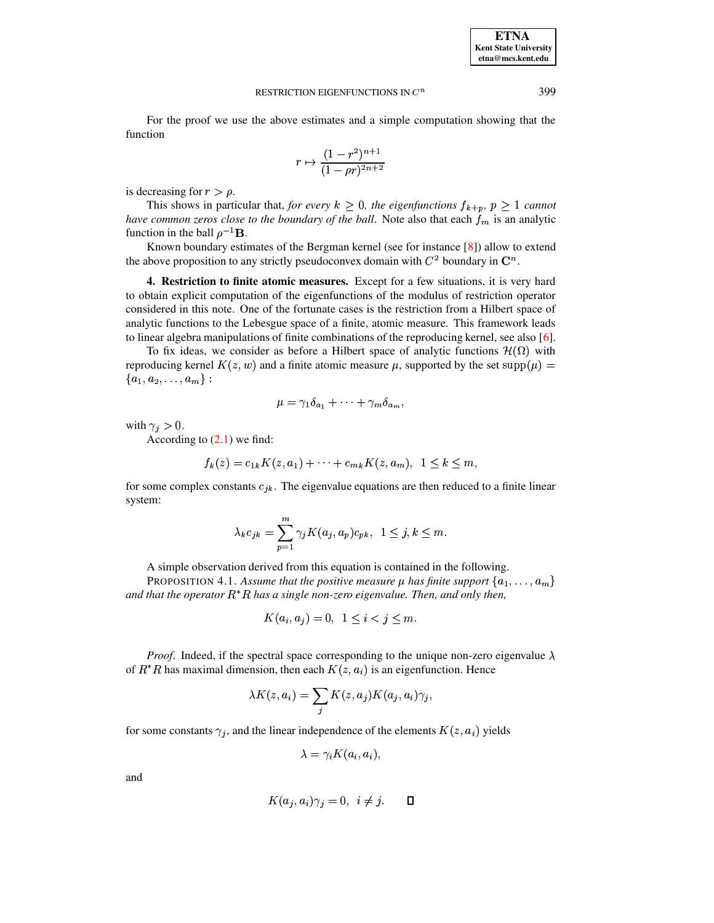For the proof we use the above estimates and a simple computation showing that the function

$$
r \mapsto \frac{(1 - r^2)^{n+1}}{(1 - \rho r)^{2n+2}}
$$

is decreasing for  $r > \rho$ .

This shows in particular that, for every  $k \geq 0$ , the eigenfunctions  $f_{k+p}$ ,  $p \geq 1$  cannot have common zeros close to the boundary of the ball. Note also that each  $f_m$  is an analytic function in the ball  $\rho^{-1}$ **B**.

Known boundary estimates of the Bergman kernel (see for instance  $[8]$ ) allow to extend the above proposition to any strictly pseudoconvex domain with  $C^2$  boundary in  $\mathbb{C}^n$ .

4. Restriction to finite atomic measures. Except for a few situations, it is very hard to obtain explicit computation of the eigenfunctions of the modulus of restriction operator considered in this note. One of the fortunate cases is the restriction from a Hilbert space of analytic functions to the Lebesgue space of a finite, atomic measure. This framework leads to linear algebra manipulations of finite combinations of the reproducing kernel, see also [6].

To fix ideas, we consider as before a Hilbert space of analytic functions  $\mathcal{H}(\Omega)$  with reproducing kernel  $K(z, w)$  and a finite atomic measure  $\mu$ , supported by the set supp $(\mu)$  =  ${a_1, a_2, \ldots, a_m}$ :

$$
\mu = \gamma_1 \delta_{a_1} + \cdots + \gamma_m \delta_{a_m},
$$

with  $\gamma_i > 0$ .

According to  $(2.1)$  we find:

$$
f_k(z) = c_{1k} K(z, a_1) + \dots + c_{mk} K(z, a_m), \ \ 1 \le k \le m
$$

for some complex constants  $c_{ik}$ . The eigenvalue equations are then reduced to a finite linear system:

$$
\lambda_k c_{jk} = \sum_{p=1}^m \gamma_j K(a_j, a_p) c_{pk}, \ \ 1 \le j, k \le m.
$$

A simple observation derived from this equation is contained in the following.

<span id="page-6-0"></span>**PROPOSITION 4.1.** Assume that the positive measure  $\mu$  has finite support  $\{a_1, \ldots, a_m\}$ and that the operator  $R^*R$  has a single non-zero eigenvalue. Then, and only then,

$$
K(a_i, a_j) = 0, \quad 1 \le i < j \le m.
$$

*Proof.* Indeed, if the spectral space corresponding to the unique non-zero eigenvalue  $\lambda$ of  $R^*R$  has maximal dimension, then each  $K(z, a_i)$  is an eigenfunction. Hence

$$
\lambda K(z, a_i) = \sum_j K(z, a_j) K(a_j, a_i) \gamma_j
$$

for some constants  $\gamma_j$ , and the linear independence of the elements  $K(z, a_i)$  yields

$$
\lambda = \gamma_i K(a_i, a_i),
$$

and

$$
K(a_j, a_i)\gamma_j = 0, \ i \neq j. \qquad \Box
$$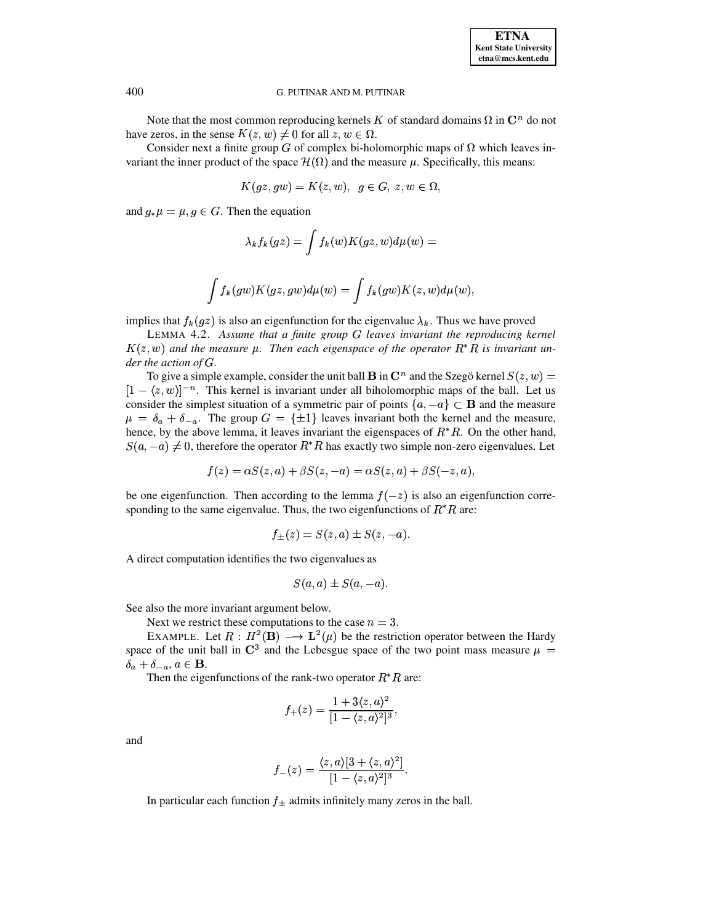

Note that the most common reproducing kernels K of standard domains  $\Omega$  in  $\mathbb{C}^n$  do not have zeros, in the sense  $K(z, w) \neq 0$  for all  $z, w \in \Omega$ .

Consider next a finite group G of complex bi-holomorphic maps of  $\Omega$  which leaves invariant the inner product of the space  $\mathcal{H}(\Omega)$  and the measure  $\mu$ . Specifically, this means:

$$
K(gz,gw)=K(z,w),\ \ g\in G,\ z,w\in \Omega,
$$

and  $g_*\mu = \mu, g \in G$ . Then the equation

$$
\lambda_k f_k(gz) = \int f_k(w) K(gz, w) d\mu(w) =
$$
  

$$
\int f_k(gw) K(gz, gw) d\mu(w) = \int f_k(gw) K(z, w) d\mu(w)
$$

implies that  $f_k(gz)$  is also an eigenfunction for the eigenvalue  $\lambda_k$ . Thus we have proved

LEMMA 4.2. Assume that a finite group  $G$  leaves invariant the reproducing kernel  $K(z, w)$  and the measure  $\mu$ . Then each eigenspace of the operator  $R^*R$  is invariant under the action of  $G$ .

To give a simple example, consider the unit ball **B** in  $\mathbb{C}^n$  and the Szegö kernel  $S(z, w)$  =  $[1 - \langle z, w \rangle]^{-n}$ . This kernel is invariant under all biholomorphic maps of the ball. Let us consider the simplest situation of a symmetric pair of points  $\{a, -a\} \subset \mathbf{B}$  and the measure  $\mu = \delta_a + \delta_{-a}$ . The group  $G = {\pm 1}$  leaves invariant both the kernel and the measure, hence, by the above lemma, it leaves invariant the eigenspaces of  $R^*R$ . On the other hand,  $S(a, -a) \neq 0$ , therefore the operator  $R^*R$  has exactly two simple non-zero eigenvalues. Let

$$
f(z) = \alpha S(z, a) + \beta S(z, -a) = \alpha S(z, a) + \beta S(-z, a),
$$

be one eigenfunction. Then according to the lemma  $f(-z)$  is also an eigenfunction corresponding to the same eigenvalue. Thus, the two eigenfunctions of  $R^*R$  are:

$$
f_{\pm}(z) = S(z, a) \pm S(z, -a).
$$

A direct computation identifies the two eigenvalues as

$$
S(a,a) \pm S(a,-a).
$$

See also the more invariant argument below.

Next we restrict these computations to the case  $n = 3$ .

EXAMPLE. Let  $R : H^2(\mathbf{B}) \longrightarrow \mathbf{L}^2(\mu)$  be the restriction operator between the Hardy space of the unit ball in  $\mathbb{C}^3$  and the Lebesgue space of the two point mass measure  $\mu =$  $\delta_a + \delta_{-a}, a \in \mathbf{B}.$ 

Then the eigenfunctions of the rank-two operator  $R^*R$  are:

$$
f_{+}(z) = \frac{1 + 3\langle z, a \rangle^{2}}{[1 - \langle z, a \rangle^{2}]^{3}},
$$

and

$$
f_-(z)=\frac{\langle z,a\rangle[3+\langle z,a\rangle^2]}{[1-\langle z,a\rangle^2]^3}.
$$

In particular each function  $f_{\pm}$  admits infinitely many zeros in the ball.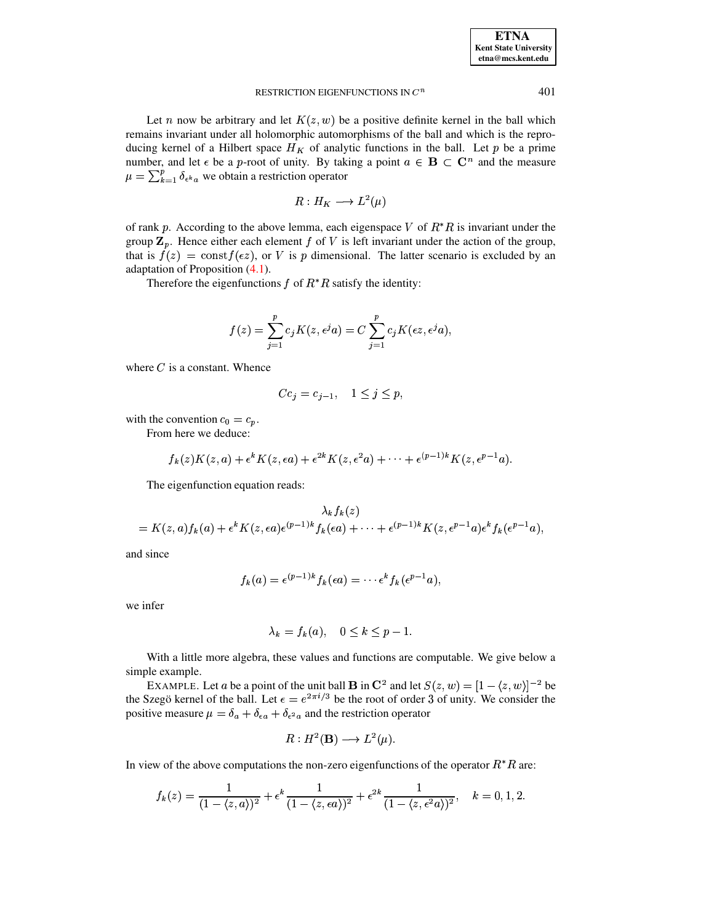Let *n* now be arbitrary and let  $K(z, w)$  be a positive definite kernel in the ball which remains invariant under all holomorphic automorphisms of the ball and which is the reproducing kernel of a Hilbert space  $H_K$  of analytic functions in the ball. Let p be a prime number, and let  $\epsilon$  be a p-root of unity. By taking a point  $a \in B \subset C^n$  and the measure  $\mu = \sum_{k=1}^{p} \delta_{\epsilon^{k} a}$  we obtain a restriction operator

$$
R: H_K \longrightarrow L^2(\mu)
$$

of rank p. According to the above lemma, each eigenspace V of  $R^*R$  is invariant under the group  $\mathbf{Z}_p$ . Hence either each element f of V is left invariant under the action of the group, that is  $f(z) = \text{const} f(\epsilon z)$ , or V is p dimensional. The latter scenario is excluded by an adaptation of Proposition  $(4.1)$ .

Therefore the eigenfunctions  $f$  of  $R^*R$  satisfy the identity:

$$
f(z) = \sum_{j=1}^{p} c_j K(z, \epsilon^j a) = C \sum_{j=1}^{p} c_j K(\epsilon z, \epsilon^j a),
$$

where  $C$  is a constant. Whence

$$
Cc_j = c_{j-1}, \quad 1 \le j \le p_j
$$

with the convention  $c_0 = c_p$ .

From here we deduce:

$$
f_k(z)K(z,a) + \epsilon^k K(z,\epsilon a) + \epsilon^{2k} K(z,\epsilon^2 a) + \cdots + \epsilon^{(p-1)k} K(z,\epsilon^{p-1} a).
$$

The eigenfunction equation reads:

$$
\lambda_k f_k(z) = K(z,a) f_k(a) + \epsilon^k K(z,\epsilon a) \epsilon^{(p-1)k} f_k(\epsilon a) + \cdots + \epsilon^{(p-1)k} K(z,\epsilon^{p-1} a) \epsilon^k f_k(\epsilon^{p-1} a),
$$

and since

$$
f_k(a) = \epsilon^{(p-1)k} f_k(\epsilon a) = \cdots \epsilon^k f_k(\epsilon^{p-1} a),
$$

we infer

$$
\lambda_k = f_k(a), \quad 0 \le k \le p-1.
$$

With a little more algebra, these values and functions are computable. We give below a simple example.

EXAMPLE. Let a be a point of the unit ball **B** in  $\mathbb{C}^2$  and let  $S(z, w) = [1 - \langle z, w \rangle]^{-2}$  be the Szegö kernel of the ball. Let  $\epsilon = e^{2\pi i/3}$  be the root of order 3 of unity. We consider the positive measure  $\mu = \delta_a + \delta_{\epsilon a} + \delta_{\epsilon^2 a}$  and the restriction operator

$$
R: H^2(\mathbf{B}) \longrightarrow L^2(\mu).
$$

In view of the above computations the non-zero eigenfunctions of the operator  $R^*R$  are:

$$
f_k(z) = \frac{1}{(1 - \langle z, a \rangle)^2} + \epsilon^k \frac{1}{(1 - \langle z, \epsilon a \rangle)^2} + \epsilon^{2k} \frac{1}{(1 - \langle z, \epsilon^2 a \rangle)^2}, \quad k = 0, 1, 2.
$$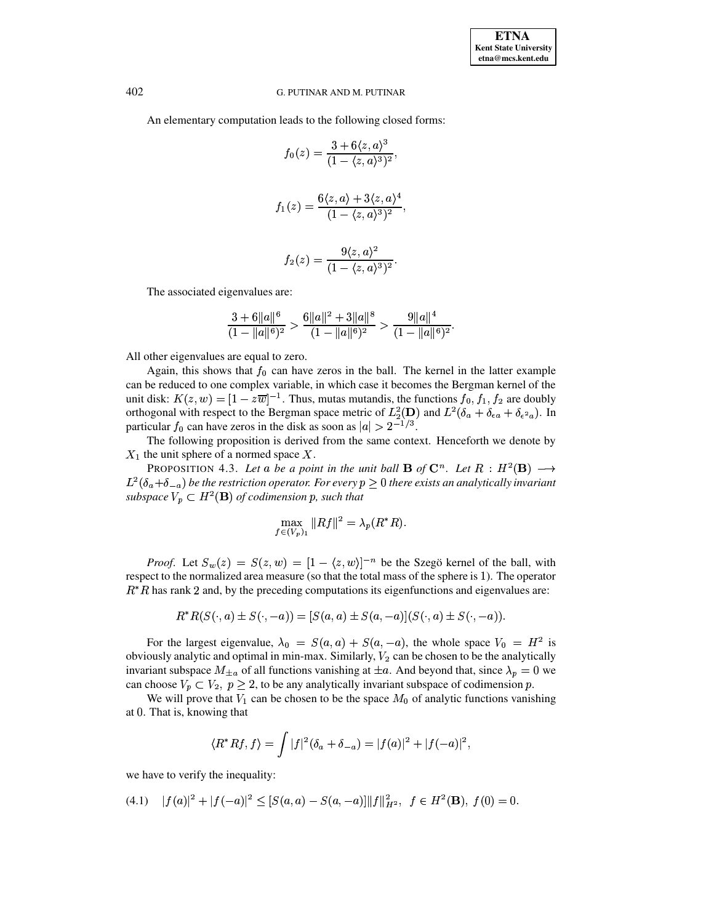An elementary computation leads to the following closed forms:

$$
f_0(z) = \frac{3 + 6\langle z, a \rangle^3}{(1 - \langle z, a \rangle^3)^2},
$$

$$
f_1(z) = \frac{6\langle z, a \rangle + 3\langle z, a \rangle^4}{(1 - \langle z, a \rangle^3)^2},
$$

$$
f_2(z)=\frac{9\langle z,a\rangle^2}{(1-\langle z,a\rangle^3)^2}.
$$

The associated eigenvalues are:

$$
\frac{3+6||a||^6}{(1-||a||^6)^2} > \frac{6||a||^2+3||a||^8}{(1-||a||^6)^2} > \frac{9||a||^4}{(1-||a||^6)^2}.
$$

All other eigenvalues are equal to zero.

Again, this shows that  $f_0$  can have zeros in the ball. The kernel in the latter example can be reduced to one complex variable, in which case it becomes the Bergman kernel of the unit disk:  $K(z, w) = [1 - z\overline{w}]^{-1}$ . Thus, mutas mutandis, the functions  $f_0, f_1, f_2$  are doubly orthogonal with respect to the Bergman space metric of  $L_2^2(D)$  and  $L^2(\delta_a + \delta_{\epsilon a} + \delta_{\epsilon^2 a})$ . In particular  $f_0$  can have zeros in the disk as soon as  $|a| > 2^{-1/3}$ .

The following proposition is derived from the same context. Henceforth we denote by  $X_1$  the unit sphere of a normed space X.

PROPOSITION 4.3. Let a be a point in the unit ball **B** of  $\mathbb{C}^n$ . Let  $R : H^2(\mathbf{B}) \longrightarrow$  $L^2(\delta_a+\delta_{-a})$  be the restriction operator. For every  $p\geq 0$  there exists an analytically invariant subspace  $V_p \subset H^2(\mathbf{B})$  of codimension p, such that

$$
\max_{f \in (V_p)_1} \|Rf\|^2 = \lambda_p(R^*R).
$$

*Proof.* Let  $S_w(z) = S(z, w) = [1 - \langle z, w \rangle]^{-n}$  be the Szegö kernel of the ball, with respect to the normalized area measure (so that the total mass of the sphere is 1). The operator  $R^*R$  has rank 2 and, by the preceding computations its eigenfunctions and eigenvalues are:

$$
R^* R(S(\cdot, a) \pm S(\cdot, -a)) = [S(a, a) \pm S(a, -a)](S(\cdot, a) \pm S(\cdot, -a)).
$$

For the largest eigenvalue,  $\lambda_0 = S(a, a) + S(a, -a)$ , the whole space  $V_0 = H^2$  is obviously analytic and optimal in min-max. Similarly,  $V_2$  can be chosen to be the analytically invariant subspace  $M_{\pm a}$  of all functions vanishing at  $\pm a$ . And beyond that, since  $\lambda_p = 0$  we can choose  $V_p \subset V_2$ ,  $p \ge 2$ , to be any analytically invariant subspace of codimension p.

We will prove that  $V_1$  can be chosen to be the space  $M_0$  of analytic functions vanishing at 0. That is, knowing that

$$
\langle R^* R f, f \rangle = \int |f|^2 (\delta_a + \delta_{-a}) = |f(a)|^2 + |f(-a)|^2,
$$

we have to verify the inequality:

<span id="page-9-0"></span>
$$
(4.1) \quad |f(a)|^2 + |f(-a)|^2 \le [S(a,a) - S(a,-a)] ||f||_{H^2}^2, \ \ f \in H^2(\mathbf{B}), \ f(0) = 0.
$$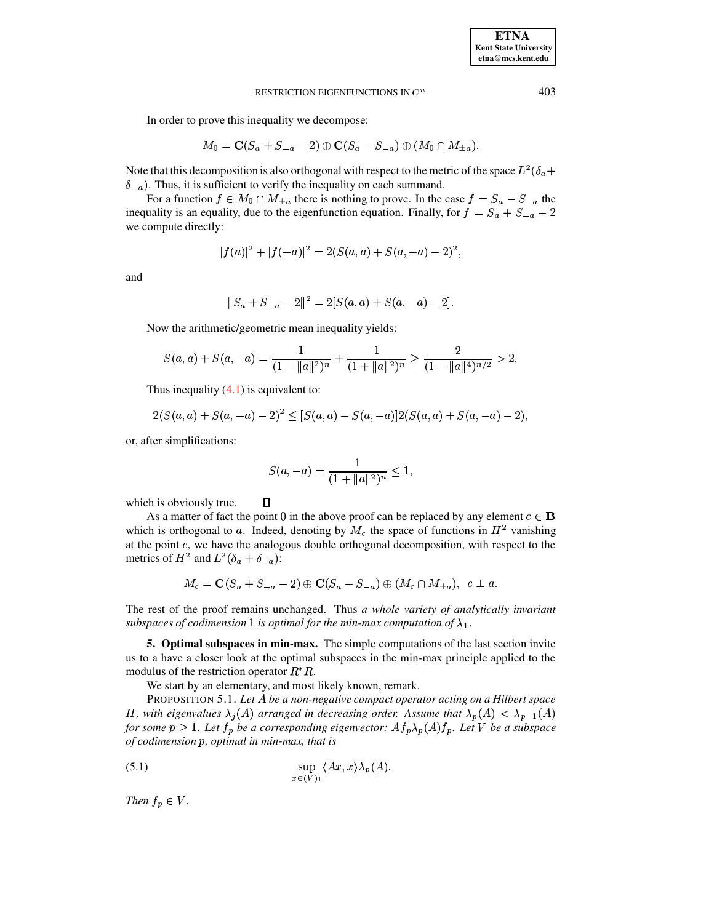In order to prove this inequality we decompose:

$$
M_0=\mathbf{C}(S_a+S_{-a}-2)\oplus\mathbf{C}(S_a-S_{-a})\oplus(M_0\cap M_{\pm a}).
$$

Note that this decomposition is also orthogonal with respect to the metric of the space  $L^2(\delta_a +$  $\delta_{-a}$ ). Thus, it is sufficient to verify the inequality on each summand.

For a function  $f \in M_0 \cap M_{\pm a}$  there is nothing to prove. In the case  $f = S_a - S_{-a}$  the inequality is an equality, due to the eigenfunction equation. Finally, for  $f = S_a + S_{-a} - 2$ we compute directly:

$$
|f(a)|^2 + |f(-a)|^2 = 2(S(a,a) + S(a,-a) - 2)^2,
$$

and

$$
||S_a + S_{-a} - 2||^2 = 2[S(a, a) + S(a, -a) - 2].
$$

Now the arithmetic/geometric mean inequality yields:

 $\Box$ 

$$
S(a,a)+S(a,-a)=\frac{1}{(1-\|a\|^2)^n}+\frac{1}{(1+\|a\|^2)^n}\geq \frac{2}{(1-\|a\|^4)^{n/2}}>2.
$$

Thus inequality  $(4.1)$  is equivalent to:

$$
2(S(a,a) + S(a,-a) - 2)^2 \leq [S(a,a) - S(a,-a)]2(S(a,a) + S(a,-a) - 2),
$$

or, after simplifications:

$$
S(a, -a) = \frac{1}{(1 + \|a\|^2)^n} \le 1,
$$

which is obviously true.

As a matter of fact the point 0 in the above proof can be replaced by any element  $c \in \mathbf{B}$ which is orthogonal to a. Indeed, denoting by  $M_c$  the space of functions in  $H<sup>2</sup>$  vanishing at the point  $c$ , we have the analogous double orthogonal decomposition, with respect to the metrics of  $H^2$  and  $L^2(\delta_a + \delta_{-a})$ :

$$
M_c = \mathbf{C}(S_a + S_{-a} - 2) \oplus \mathbf{C}(S_a - S_{-a}) \oplus (M_c \cap M_{\pm a}), \ \ c \perp a.
$$

The rest of the proof remains unchanged. Thus *a whole variety of analytically invariant*  $s$ ubspaces of codimension  $1$  is optimal for the min-max computation of  $\lambda_1$ .

**5. Optimal subspaces in min-max.** The simple computations of the last section invite us to a have a closer look at the optimal subspaces in the min-max principle applied to the modulus of the restriction operator  $R^*R$ .

We start by an elementary, and most likely known, remark.

PROPOSITION 5.1. *Let* <sup>³</sup> *be a non-negative compact operator acting on a Hilbert space H*, with eigenvalues  $\lambda_j(A)$  arranged in decreasing order. Assume that  $\lambda_p(A) < \lambda_{p-1}(A)$ *for* some  $p \geq 1$ . Let  $f_p$  be a corresponding eigenvector:  $Af_p \lambda_p(A) f_p$ . Let V be a subspace *of codimension , optimal in min-max, that is*

<span id="page-10-0"></span>(5.1) 
$$
\sup_{x \in (V)_1} \langle Ax, x \rangle \lambda_p(A).
$$

*Then*  $f_p \in V$ .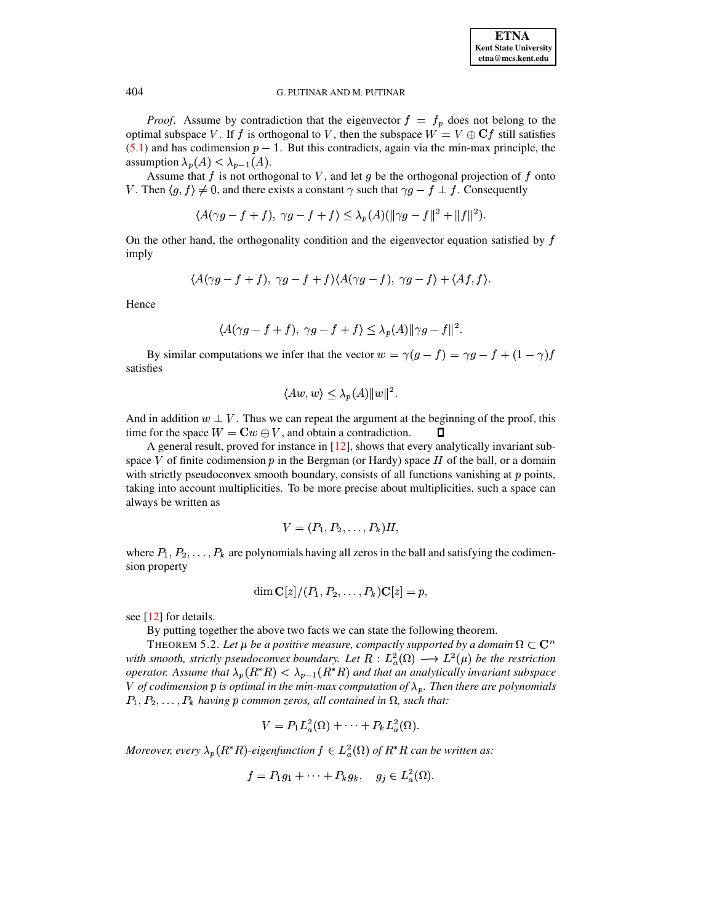*Proof.* Assume by contradiction that the eigenvector  $f = f_p$  does not belong to the optimal subspace V. If f is orthogonal to V, then the subspace  $W = V \oplus \mathbf{C} f$  still satisfies  $(5.1)$  and has codimension  $p-1$ . But this contradicts, again via the min-max principle, the assumption  $\lambda_n(A) < \lambda_{n-1}(A)$ .

Assume that f is not orthogonal to V, and let g be the orthogonal projection of f onto V. Then  $\langle g, f \rangle \neq 0$ , and there exists a constant  $\gamma$  such that  $\gamma g - f \perp f$ . Consequently

$$
\langle A(\gamma g - f + f), \gamma g - f + f \rangle \leq \lambda_p(A)(\|\gamma g - f\|^2 + \|f\|^2).
$$

On the other hand, the orthogonality condition and the eigenvector equation satisfied by f imply

$$
\langle A(\gamma g-f+f), \gamma g-f+f \rangle \langle A(\gamma g-f), \gamma g-f \rangle + \langle Af, f \rangle
$$

Hence

$$
\langle A(\gamma g-f+f),\ \gamma g-f+f\rangle\leq \lambda_p(A)\|\gamma g-f\|^2.
$$

By similar computations we infer that the vector  $w = \gamma(g - f) = \gamma g - f + (1 - \gamma)f$ satisfies

$$
\langle Aw, w \rangle \leq \lambda_p(A) ||w||^2.
$$

And in addition  $w \perp V$ . Thus we can repeat the argument at the beginning of the proof, this time for the space  $W = \mathbf{C}w \oplus V$ , and obtain a contradiction.  $\mathsf{\Pi}$ 

A general result, proved for instance in [12], shows that every analytically invariant subspace V of finite codimension  $p$  in the Bergman (or Hardy) space  $H$  of the ball, or a domain with strictly pseudoconvex smooth boundary, consists of all functions vanishing at  $p$  points, taking into account multiplicities. To be more precise about multiplicities, such a space can always be written as

$$
V=(P_1,P_2,\ldots,P_k)H,
$$

where  $P_1, P_2, \ldots, P_k$  are polynomials having all zeros in the ball and satisfying the codimension property

$$
\dim \mathbf{C}[z]/(P_1,P_2,\ldots,P_k)\mathbf{C}[z]=p,
$$

see [12] for details.

By putting together the above two facts we can state the following theorem.

THEOREM 5.2. Let  $\mu$  be a positive measure, compactly supported by a domain  $\Omega \subset \mathbb{C}^n$ with smooth, strictly pseudoconvex boundary. Let  $R : L^2_a(\Omega) \longrightarrow L^2(\mu)$  be the restriction operator. Assume that  $\lambda_p(R^*R) < \lambda_{p-1}(R^*R)$  and that an analytically invariant subspace V of codimension p is optimal in the min-max computation of  $\lambda_p$ . Then there are polynomials  $P_1, P_2, \ldots, P_k$  having p common zeros, all contained in  $\Omega$ , such that:

$$
V = P_1 L_a^2(\Omega) + \cdots + P_k L_a^2(\Omega)
$$

Moreover, every  $\lambda_p(R^*R)$ -eigenfunction  $f \in L^2_a(\Omega)$  of  $R^*R$  can be written as:

$$
f = P_1 g_1 + \cdots + P_k g_k, \quad g_j \in L^2_a(\Omega).
$$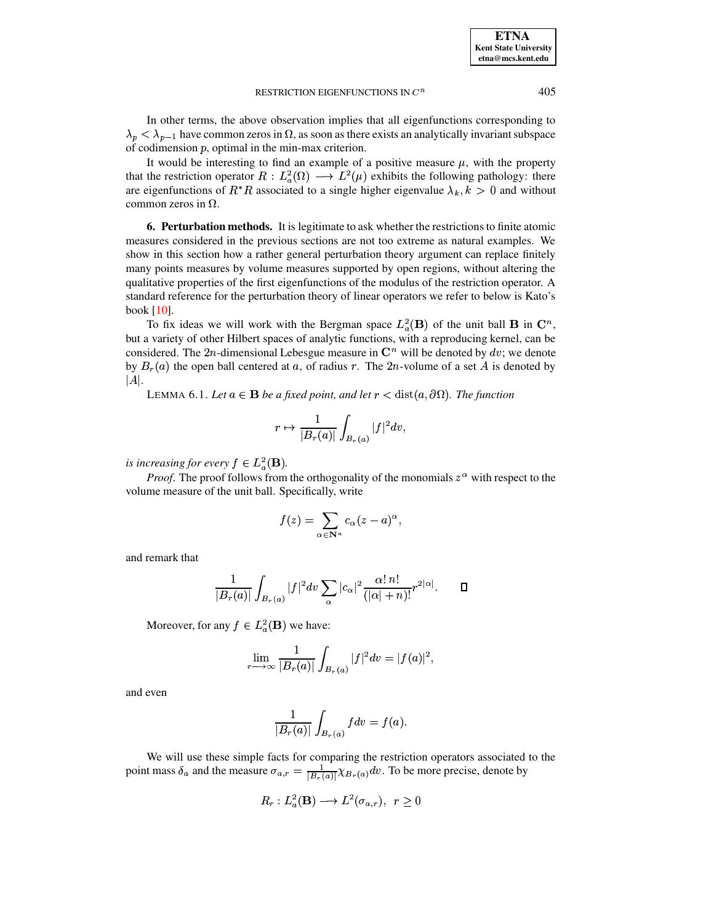In other terms, the above observation implies that all eigenfunctions corresponding to  $\lambda_p < \lambda_{p-1}$  have common zeros in  $\Omega$ , as soon as there exists an analytically invariant subspace of codimension  $p$ , optimal in the min-max criterion.

It would be interesting to find an example of a positive measure  $\mu$ , with the property that the restriction operator  $R: L^2_a(\Omega) \longrightarrow L^2(\mu)$  exhibits the following pathology: there are eigenfunctions of  $R^*R$  associated to a single higher eigenvalue  $\lambda_k, k > 0$  and without common zeros in  $\Omega$ .

**6. Perturbation methods.** It is legitimate to ask whether the restrictions to finite atomic measures considered in the previous sections are not too extreme as natural examples. We show in this section how a rather general perturbation theory argument can replace finitely many points measures by volume measures supported by open regions, without altering the qualitative properties of the first eigenfunctions of the modulus of the restriction operator. A standard reference for the perturbation theory of linear operators we refer to below is Kato's book [\[10\]](#page-15-7).

To fix ideas we will work with the Bergman space  $L_a^2(\mathbf{B})$  of the unit ball **B** in  $\mathbf{C}^n$ , but a variety of other Hilbert spaces of analytic functions, with a reproducing kernel, can be considered. The 2n-dimensional Lebesgue measure in  $\mathbb{C}^n$  will be denoted by  $dv$ ; we denote by  $B_r(a)$  the open ball centered at a, of radius r. The  $2n$ -volume of a set A is denoted by  $|A|$ .

LEMMA 6.1. Let  $a \in \mathbf{B}$  *be a fixed point, and let*  $r < \text{dist}(a, \partial \Omega)$ . The function

$$
r \mapsto \frac{1}{|B_r(a)|} \int_{B_r(a)} |f|^2 dv,
$$

*is increasing for every*  $f \in L^2_a(\mathbf{B})$ .

*Proof.* The proof follows from the orthogonality of the monomials  $z^{\alpha}$  with respect to the volume measure of the unit ball. Specifically, write

$$
f(z)=\sum_{\alpha\in{\bf N}^n}c_\alpha(z-a)^\alpha,
$$

and remark that

$$
\frac{1}{|B_r(a)|}\int_{B_r(a)}|f|^2dv\sum_{\alpha}|c_{\alpha}|^2\frac{\alpha!\,n!}{(|\alpha|+n)!}r^{2|\alpha|}.\quad\quad \ \Box
$$

Moreover, for any  $f \in L^2(\mathbf{B})$  we have:

$$
\lim_{r\longrightarrow\infty}\frac{1}{|B_r(a)|}\int_{B_r(a)}|f|^2dv=|f(a)|^2,
$$

and even

$$
\frac{1}{|B_r(a)|}\int_{B_r(a)}fdv=f(a).
$$

We will use these simple facts for comparing the restriction operators associated to the We will use these simple facts for comparing the restriction operators associated<br>point mass  $\delta_a$  and the measure  $\sigma_{a,r} = \frac{1}{|B_r(a)|} \chi_{B_r(a)} dv$ . To be more precise, denote by

$$
R_r: L^2_a(\mathbf{B}) \longrightarrow L^2(\sigma_{a,r}),\ \ r\geq 0
$$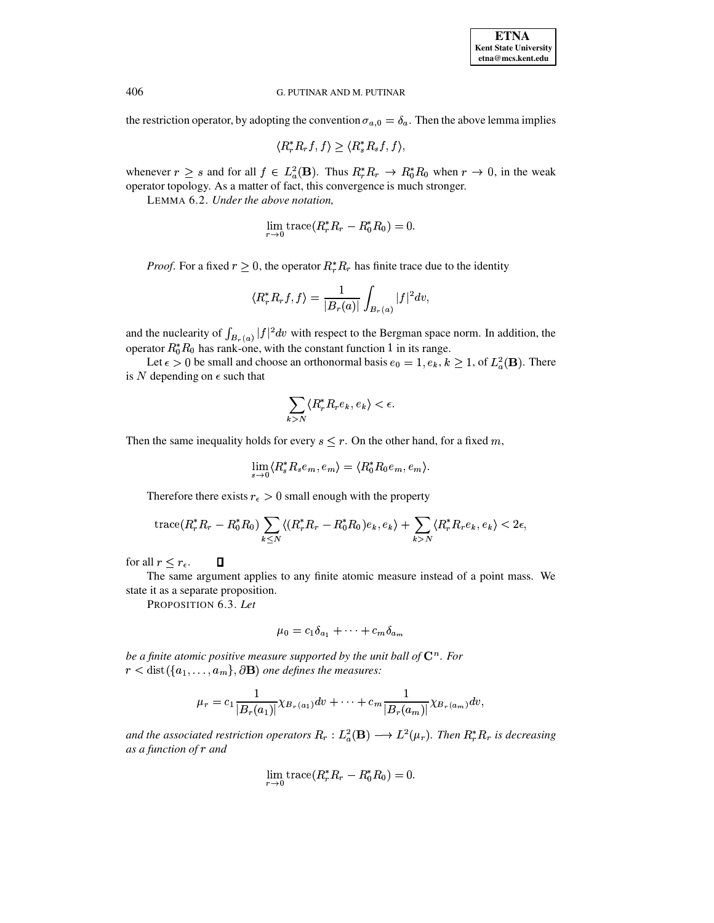the restriction operator, by adopting the convention  $\sigma_{a,0} = \delta_a$ . Then the above lemma implies

$$
\langle R_r^* R_r f, f \rangle \ge \langle R_s^* R_s f, f \rangle,
$$

whenever  $r \geq s$  and for all  $f \in L^2_a(\mathbf{B})$ . Thus  $R_r^* R_r \to R_0^* R_0$  when  $r \to 0$ , in the weak operator topology. As a matter of fact, this convergence is much stronger.

LEMMA 6.2. Under the above notation,

$$
\lim_{r \to 0} \operatorname{trace}(R_r^* R_r - R_0^* R_0) = 0.
$$

*Proof.* For a fixed  $r \geq 0$ , the operator  $R_r^* R_r$  has finite trace due to the identity

$$
\langle R_r^* R_r f, f \rangle = \frac{1}{|B_r(a)|} \int_{B_r(a)} |f|^2 dv
$$

and the nuclearity of  $\int_{B_n(a)} |f|^2 dv$  with respect to the Bergman space norm. In addition, the operator  $R_0^* R_0$  has rank-one, with the constant function 1 in its range.

Let  $\epsilon > 0$  be small and choose an orthonormal basis  $e_0 = 1, e_k, k \ge 1$ , of  $L^2_a(\mathbf{B})$ . There is  $N$  depending on  $\epsilon$  such that

$$
\sum_{k>N} \langle R_r^* R_r e_k, e_k \rangle < \epsilon.
$$

Then the same inequality holds for every  $s \leq r$ . On the other hand, for a fixed m,

$$
\lim_{s \to 0} \langle R_s^* R_s e_m, e_m \rangle = \langle R_0^* R_0 e_m, e_m \rangle.
$$

Therefore there exists  $r_{\epsilon} > 0$  small enough with the property

$$
\operatorname{trace}(R_r^*R_r - R_0^*R_0) \sum_{k \le N} \langle (R_r^*R_r - R_0^*R_0)e_k, e_k \rangle + \sum_{k > N} \langle R_r^*R_re_k, e_k \rangle < 2\epsilon,
$$

for all  $r \leq r_{\epsilon}$ .  $\Box$ 

The same argument applies to any finite atomic measure instead of a point mass. We state it as a separate proposition.

PROPOSITION 6.3. Let

$$
\mu_0 = c_1 \delta_{a_1} + \dots + c_m \delta_{a_m}
$$

be a finite atomic positive measure supported by the unit ball of  $\mathbb{C}^n$ . For  $r < \text{dist}(\{a_1, \ldots, a_m\}, \partial \mathbf{B})$  one defines the measures:

$$
\mu_r = c_1 \frac{1}{|B_r(a_1)|} \chi_{B_r(a_1)} dv + \cdots + c_m \frac{1}{|B_r(a_m)|} \chi_{B_r(a_m)} dv,
$$

and the associated restriction operators  $R_r : L^2(\mathbf{B}) \longrightarrow L^2(\mu_r)$ . Then  $R_r^* R_r$  is decreasing as a function of r and

$$
\lim_{r \to 0} \operatorname{trace}(R_r^* R_r - R_0^* R_0) = 0.
$$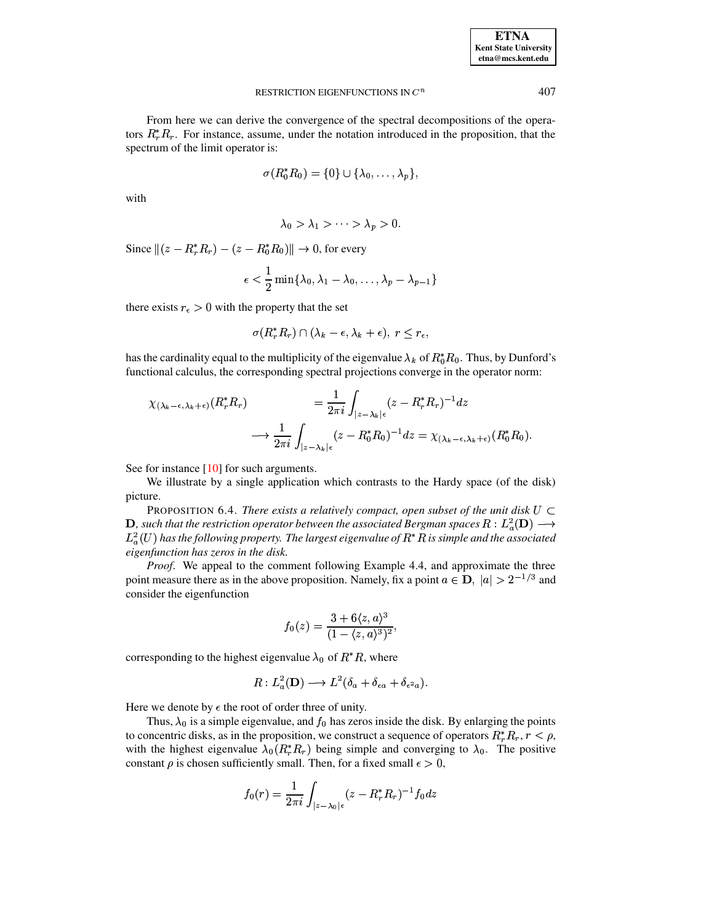407

#### RESTRICTION EIGENFUNCTIONS IN  $C^n$

From here we can derive the convergence of the spectral decompositions of the operators  $R_r^*R_r$ . For instance, assume, under the notation introduced in the proposition, that the spectrum of the limit operator is:

$$
\sigma(R_0^*R_0)=\{0\}\cup\{\lambda_0,\ldots,\lambda_p\},\,
$$

with

$$
\lambda_0 > \lambda_1 > \cdots > \lambda_p > 0.
$$

Since  $||(z - R_r^*R_r) - (z - R_0^*R_0)|| \rightarrow 0$ , for every

$$
\epsilon<\frac{1}{2}\min\{\lambda_0,\lambda_1-\lambda_0,\ldots,\lambda_p-\lambda_{p-1}\}
$$

there exists  $r_{\epsilon} > 0$  with the property that the set

$$
\sigma(R_r^*R_r) \cap (\lambda_k - \epsilon, \lambda_k + \epsilon), \ r \leq r_{\epsilon},
$$

has the cardinality equal to the multiplicity of the eigenvalue  $\lambda_k$  of  $R_0^* R_0$ . Thus, by Dunford's functional calculus, the corresponding spectral projections converge in the operator norm:

$$
\chi_{(\lambda_k-\epsilon,\lambda_k+\epsilon)}(R_r^*R_r) = \frac{1}{2\pi i}\int_{|z-\lambda_k|\epsilon} (z-R_r^*R_r)^{-1}dz
$$
  

$$
\longrightarrow \frac{1}{2\pi i}\int_{|z-\lambda_k|\epsilon} (z-R_0^*R_0)^{-1}dz = \chi_{(\lambda_k-\epsilon,\lambda_k+\epsilon)}(R_0^*R_0).
$$

See for instance  $[10]$  for such arguments.

We illustrate by a single application which contrasts to the Hardy space (of the disk) picture.

PROPOSITION 6.4. There exists a relatively compact, open subset of the unit disk  $U \subset$ **D**, such that the restriction operator between the associated Bergman spaces  $R: L^2_a(\mathbf{D}) \longrightarrow$  $L^2_a(U)$  has the following property. The largest eigenvalue of  $R^*R$  is simple and the associated eigenfunction has zeros in the disk.

*Proof.* We appeal to the comment following Example 4.4, and approximate the three point measure there as in the above proposition. Namely, fix a point  $a \in \mathbf{D}$ ,  $|a| > 2^{-1/3}$  and consider the eigenfunction

$$
f_0(z) = \frac{3 + 6\langle z, a \rangle^3}{(1 - \langle z, a \rangle^3)^2},
$$

corresponding to the highest eigenvalue  $\lambda_0$  of  $R^*R$ , where

$$
R: L_a^2(\mathbf{D}) \longrightarrow L^2(\delta_a + \delta_{\epsilon a} + \delta_{\epsilon^2 a}).
$$

Here we denote by  $\epsilon$  the root of order three of unity.

Thus,  $\lambda_0$  is a simple eigenvalue, and  $f_0$  has zeros inside the disk. By enlarging the points to concentric disks, as in the proposition, we construct a sequence of operators  $R_r^* R_r$ ,  $r < \rho$ , with the highest eigenvalue  $\lambda_0(R_r^*R_r)$  being simple and converging to  $\lambda_0$ . The positive constant  $\rho$  is chosen sufficiently small. Then, for a fixed small  $\epsilon > 0$ ,

$$
f_0(r)=\frac{1}{2\pi i}\int_{|z-\lambda_0|\epsilon}(z-R^*_rR_r)^{-1}f_0dz
$$